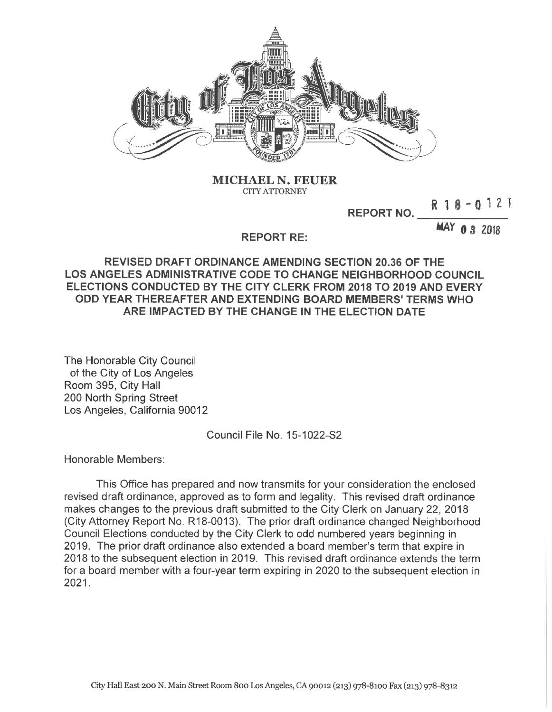

**MICHAEL** N. **FEUER CITY ATTORNEY**

**<sup>R</sup> <sup>1</sup> <sup>8</sup> - <sup>0</sup> <sup>1</sup> n**

**REPORT NO.**

**REPORT RE: MAY 0 3 2018** 

## **REVISED DRAFT ORDINANCE AMENDING SECTION 20.36 OF THE LOS ANGELES ADMINISTRATIVE CODE TO CHANGE NEIGHBORHOOD COUNCIL ELECTIONS CONDUCTED BY THE CITY CLERK FROM 2018 TO 2019 AND EVERY ODD YEAR THEREAFTER AND EXTENDING BOARD MEMBERS' TERMS WHO ARE IMPACTED BY THE CHANGE IN THE ELECTION DATE**

The Honorable City Council of the City of Los Angeles Room 395, City Hall 200 North Spring Street Los Angeles, California 90012

Council File No. 15-1022-S2

Honorable Members:

This Office has prepared and now transmits for your consideration the enclosed revised draft ordinance, approved as to form and legality. This revised draft ordinance makes changes to the previous draft submitted to the City Clerk on January 22, 2018 (City Attorney Report No. R18-0013). The prior draft ordinance changed Neighborhood Council Elections conducted by the City Clerk to odd numbered years beginning in 2019. The prior draft ordinance also extended a board member's term that expire in 2018 to the subsequent election in 2019. This revised draft ordinance extends the term for a board member with a four-year term expiring in 2020 to the subsequent election in 2021**.**